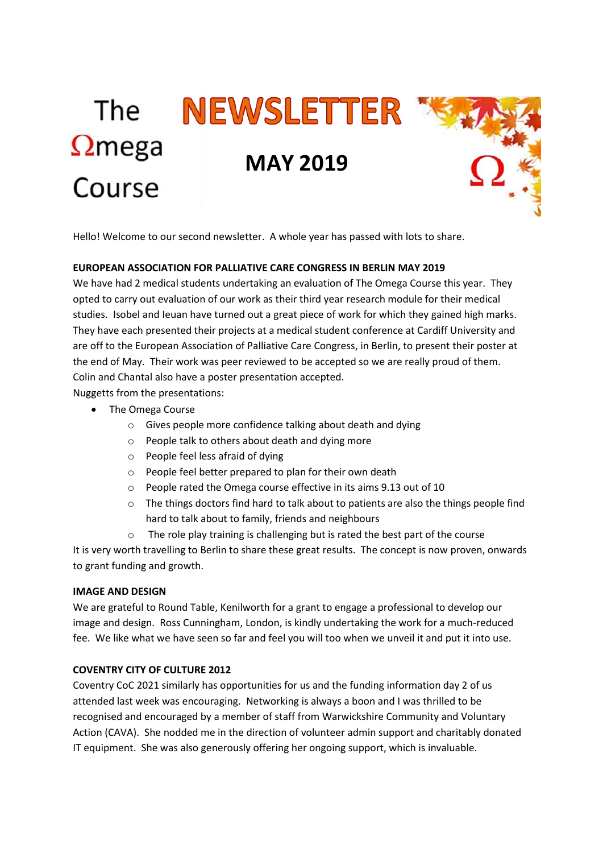# The **NEWSLETTER**  $\Omega$ mega **MAY 2019**Course

Hello! Welcome to our second newsletter. A whole year has passed with lots to share.

## **EUROPEAN ASSOCIATION FOR PALLIATIVE CARE CONGRESS IN BERLIN MAY 2019**

We have had 2 medical students undertaking an evaluation of The Omega Course this year. They opted to carry out evaluation of our work as their third year research module for their medical studies. Isobel and Ieuan have turned out a great piece of work for which they gained high marks. They have each presented their projects at a medical student conference at Cardiff University and are off to the European Association of Palliative Care Congress, in Berlin, to present their poster at the end of May. Their work was peer reviewed to be accepted so we are really proud of them. Colin and Chantal also have a poster presentation accepted.

Nuggetts from the presentations:

- The Omega Course
	- o Gives people more confidence talking about death and dying
	- o People talk to others about death and dying more
	- o People feel less afraid of dying
	- o People feel better prepared to plan for their own death
	- o People rated the Omega course effective in its aims 9.13 out of 10
	- $\circ$  The things doctors find hard to talk about to patients are also the things people find hard to talk about to family, friends and neighbours
	- $\circ$  The role play training is challenging but is rated the best part of the course

It is very worth travelling to Berlin to share these great results. The concept is now proven, onwards to grant funding and growth.

#### **IMAGE AND DESIGN**

We are grateful to Round Table, Kenilworth for a grant to engage a professional to develop our image and design. Ross Cunningham, London, is kindly undertaking the work for a much-reduced fee. We like what we have seen so far and feel you will too when we unveil it and put it into use.

## **COVENTRY CITY OF CULTURE 2012**

Coventry CoC 2021 similarly has opportunities for us and the funding information day 2 of us attended last week was encouraging. Networking is always a boon and I was thrilled to be recognised and encouraged by a member of staff from Warwickshire Community and Voluntary Action (CAVA). She nodded me in the direction of volunteer admin support and charitably donated IT equipment. She was also generously offering her ongoing support, which is invaluable.